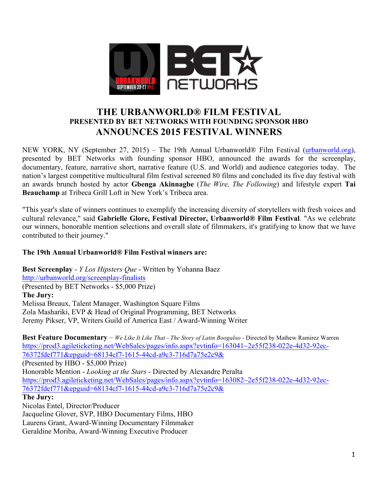

# **THE URBANWORLD® FILM FESTIVAL PRESENTED BY BET NETWORKS WITH FOUNDING SPONSOR HBO ANNOUNCES 2015 FESTIVAL WINNERS**

NEW YORK, NY (September 27, 2015) – The 19th Annual Urbanworld® Film Festival (urbanworld.org), presented by BET Networks with founding sponsor HBO, announced the awards for the screenplay, documentary, feature, narrative short, narrative feature (U.S. and World) and audience categories today. The nation's largest competitive multicultural film festival screened 80 films and concluded its five day festival with an awards brunch hosted by actor **Gbenga Akinnagbe** (*The Wire, The Following*) and lifestyle expert **Tai Beauchamp** at Tribeca Grill Loft in New York's Tribeca area.

"This year's slate of winners continues to exemplify the increasing diversity of storytellers with fresh voices and cultural relevance," said **Gabrielle Glore, Festival Director, Urbanworld® Film Festival**. "As we celebrate our winners, honorable mention selections and overall slate of filmmakers, it's gratifying to know that we have contributed to their journey."

### **The 19th Annual Urbanworld® Film Festival winners are:**

**Best Screenplay** - *Y Los Hipsters Que* - Written by Yohanna Baez http://urbanworld.org/screenplay-finalists (Presented by BET Networks - \$5,000 Prize) **The Jury:** Melissa Breaux, Talent Manager, Washington Square Films Zola Mashariki, EVP & Head of Original Programming, BET Networks Jeremy Pikser, VP, Writers Guild of America East / Award-Winning Writer

**Best Feature Documentary** – *We Like It Like That - The Story of Latin Boogaloo* - Directed by Mathew Ramirez Warren https://prod3.agileticketing.net/WebSales/pages/info.aspx?evtinfo=163041~2e55f238-022e-4d32-92ec-76372fdef771&epguid=68134cf7-1615-44cd-a9c3-716d7a75e2c9& (Presented by HBO - \$5,000 Prize) Honorable Mention - *Looking at the Stars* - Directed by Alexandre Peralta https://prod3.agileticketing.net/WebSales/pages/info.aspx?evtinfo=163082~2e55f238-022e-4d32-92ec-76372fdef771&epguid=68134cf7-1615-44cd-a9c3-716d7a75e2c9& **The Jury:** Nicolas Entel, Director/Producer

Jacqueline Glover, SVP, HBO Documentary Films, HBO Laurens Grant, Award-Winning Documentary Filmmaker Geraldine Moriba, Award-Winning Executive Producer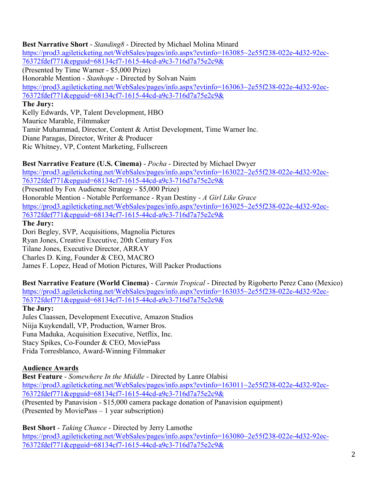**Best Narrative Short** - *Standing8* - Directed by Michael Molina Minard https://prod3.agileticketing.net/WebSales/pages/info.aspx?evtinfo=163085~2e55f238-022e-4d32-92ec-76372fdef771&epguid=68134cf7-1615-44cd-a9c3-716d7a75e2c9& (Presented by Time Warner - \$5,000 Prize) Honorable Mention - *Stanhope* - Directed by Solvan Naim https://prod3.agileticketing.net/WebSales/pages/info.aspx?evtinfo=163063~2e55f238-022e-4d32-92ec-76372fdef771&epguid=68134cf7-1615-44cd-a9c3-716d7a75e2c9& **The Jury:** Kelly Edwards, VP, Talent Development, HBO Maurice Marable, Filmmaker Tamir Muhammad, Director, Content & Artist Development, Time Warner Inc. Diane Paragas, Director, Writer & Producer

Ric Whitney, VP, Content Marketing, Fullscreen

**Best Narrative Feature (U.S. Cinema)** - *Pocha* - Directed by Michael Dwyer https://prod3.agileticketing.net/WebSales/pages/info.aspx?evtinfo=163022~2e55f238-022e-4d32-92ec-76372fdef771&epguid=68134cf7-1615-44cd-a9c3-716d7a75e2c9& (Presented by Fox Audience Strategy - \$5,000 Prize) Honorable Mention - Notable Performance - Ryan Destiny - *A Girl Like Grace* https://prod3.agileticketing.net/WebSales/pages/info.aspx?evtinfo=163025~2e55f238-022e-4d32-92ec-76372fdef771&epguid=68134cf7-1615-44cd-a9c3-716d7a75e2c9& **The Jury:** Dori Begley, SVP, Acquisitions, Magnolia Pictures

Ryan Jones, Creative Executive, 20th Century Fox Tilane Jones, Executive Director, ARRAY Charles D. King, Founder & CEO, MACRO James F. Lopez, Head of Motion Pictures, Will Packer Productions

**Best Narrative Feature (World Cinema)** - *Carmin Tropical* - Directed by Rigoberto Perez Cano (Mexico) https://prod3.agileticketing.net/WebSales/pages/info.aspx?evtinfo=163035~2e55f238-022e-4d32-92ec-76372fdef771&epguid=68134cf7-1615-44cd-a9c3-716d7a75e2c9&

## **The Jury:**

Jules Claassen, Development Executive, Amazon Studios Niija Kuykendall, VP, Production, Warner Bros. Funa Maduka, Acquisition Executive, Netflix, Inc. Stacy Spikes, Co-Founder & CEO, MoviePass Frida Torresblanco, Award-Winning Filmmaker

## **Audience Awards**

**Best Feature** - *Somewhere In the Middle* - Directed by Lanre Olabisi https://prod3.agileticketing.net/WebSales/pages/info.aspx?evtinfo=163011~2e55f238-022e-4d32-92ec-76372fdef771&epguid=68134cf7-1615-44cd-a9c3-716d7a75e2c9& (Presented by Panavision - \$15,000 camera package donation of Panavision equipment) (Presented by MoviePass – 1 year subscription)

**Best Short** - *Taking Chance* - Directed by Jerry Lamothe https://prod3.agileticketing.net/WebSales/pages/info.aspx?evtinfo=163080~2e55f238-022e-4d32-92ec-76372fdef771&epguid=68134cf7-1615-44cd-a9c3-716d7a75e2c9&